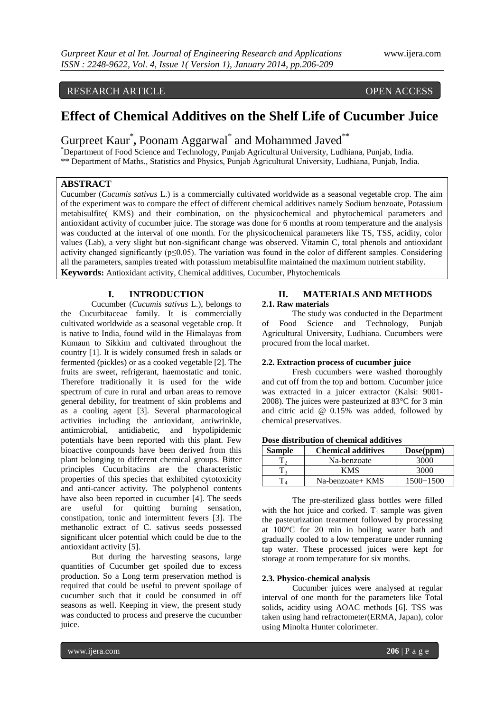# RESEARCH ARTICLE OPEN ACCESS

# **Effect of Chemical Additives on the Shelf Life of Cucumber Juice**

# Gurpreet Kaur<sup>\*</sup>, Poonam Aggarwal<sup>\*</sup> and Mohammed Javed<sup>\*\*</sup>

\*Department of Food Science and Technology, Punjab Agricultural University, Ludhiana, Punjab, India. \*\* Department of Maths., Statistics and Physics, Punjab Agricultural University, Ludhiana, Punjab, India.

# **ABSTRACT**

Cucumber (*Cucumis sativus* L.) is a commercially cultivated worldwide as a seasonal vegetable crop. The aim of the experiment was to compare the effect of different chemical additives namely Sodium benzoate, Potassium metabisulfite( KMS) and their combination, on the physicochemical and phytochemical parameters and antioxidant activity of cucumber juice. The storage was done for 6 months at room temperature and the analysis was conducted at the interval of one month. For the physicochemical parameters like TS, TSS, acidity, color values (Lab), a very slight but non-significant change was observed. Vitamin C, total phenols and antioxidant activity changed significantly ( $p \le 0.05$ ). The variation was found in the color of different samples. Considering all the parameters, samples treated with potassium metabisulfite maintained the maximum nutrient stability. **Keywords:** Antioxidant activity, Chemical additives, Cucumber, Phytochemicals

# **I. INTRODUCTION**

Cucumber (*Cucumis sativus* L.), belongs to the Cucurbitaceae family. It is commercially cultivated worldwide as a seasonal vegetable crop. It is native to India, found wild in the Himalayas from Kumaun to Sikkim and cultivated throughout the country [1]. It is widely consumed fresh in salads or fermented (pickles) or as a cooked vegetable [2]. The fruits are sweet, refrigerant, haemostatic and tonic. Therefore traditionally it is used for the wide spectrum of cure in rural and urban areas to remove general debility, for treatment of skin problems and as a cooling agent [3]. Several pharmacological activities including the antioxidant, antiwrinkle, antimicrobial, antidiabetic, and hypolipidemic potentials have been reported with this plant. Few bioactive compounds have been derived from this plant belonging to different chemical groups. Bitter principles Cucurbitacins are the characteristic properties of this species that exhibited cytotoxicity and anti-cancer activity. The polyphenol contents have also been reported in cucumber [4]. The seeds are useful for quitting burning sensation, constipation, tonic and intermittent fevers [3]. The methanolic extract of C. sativus seeds possessed significant ulcer potential which could be due to the antioxidant activity [5].

But during the harvesting seasons, large quantities of Cucumber get spoiled due to excess production. So a Long term preservation method is required that could be useful to prevent spoilage of cucumber such that it could be consumed in off seasons as well. Keeping in view, the present study was conducted to process and preserve the cucumber juice.

# **II. MATERIALS AND METHODS 2.1. Raw materials**

The study was conducted in the Department of Food Science and Technology, Punjab Agricultural University, Ludhiana. Cucumbers were procured from the local market.

# **2.2. Extraction process of cucumber juice**

Fresh cucumbers were washed thoroughly and cut off from the top and bottom. Cucumber juice was extracted in a juicer extractor (Kalsi: 9001- 2008). The juices were pasteurized at 83°C for 3 min and citric [acid @ 0.15%](mailto:acid@0.15%25) was added, followed by chemical preservatives.

# **Dose distribution of chemical additives**

| <b>Sample</b> | <b>Chemical additives</b> | Dose(ppm)   |
|---------------|---------------------------|-------------|
|               | Na-benzoate               | 3000        |
|               | KMS                       | 3000        |
|               | Na-benzoate+ KMS          | $1500+1500$ |

The pre-sterilized glass bottles were filled with the hot juice and corked.  $T_1$  sample was given the pasteurization treatment followed by processing at 100°C for 20 min in boiling water bath and gradually cooled to a low temperature under running tap water. These processed juices were kept for storage at room temperature for six months.

# **2.3. Physico-chemical analysis**

Cucumber juices were analysed at regular interval of one month for the parameters like Total solids**,** acidity using AOAC methods [6]. TSS was taken using hand refractometer(ERMA, Japan), color using Minolta Hunter colorimeter.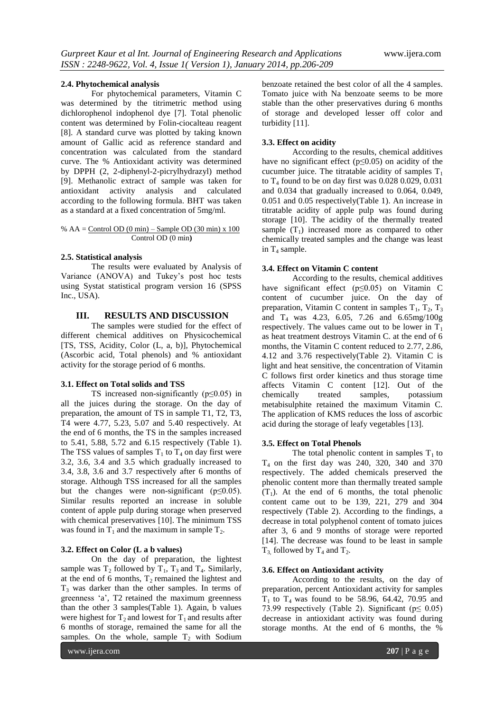# **2.4. Phytochemical analysis**

For phytochemical parameters, Vitamin C was determined by the titrimetric method using dichlorophenol indophenol dye [7]. Total phenolic content was determined by Folin-ciocalteau reagent [8]. A standard curve was plotted by taking known amount of Gallic acid as reference standard and concentration was calculated from the standard curve. The % Antioxidant activity was determined by DPPH (2, 2-diphenyl-2-picrylhydrazyl) method [9]. Methanolic extract of sample was taken for antioxidant activity analysis and calculated according to the following formula. BHT was taken as a standard at a fixed concentration of 5mg/ml.

### %  $AA =$  Control OD (0 min) – Sample OD (30 min) x 100 Control OD (0 min**)**

### **2.5. Statistical analysis**

The results were evaluated by Analysis of Variance (ANOVA) and Tukey's post hoc tests using Systat statistical program version 16 (SPSS Inc., USA).

# **III. RESULTS AND DISCUSSION**

The samples were studied for the effect of different chemical additives on Physicochemical [TS, TSS, Acidity, Color (L, a, b)], Phytochemical (Ascorbic acid, Total phenols) and % antioxidant activity for the storage period of 6 months.

# **3.1. Effect on Total solids and TSS**

TS increased non-significantly ( $p \leq 0.05$ ) in all the juices during the storage. On the day of preparation, the amount of TS in sample T1, T2, T3, T4 were 4.77, 5.23, 5.07 and 5.40 respectively. At the end of 6 months, the TS in the samples increased to 5.41, 5.88, 5.72 and 6.15 respectively (Table 1). The TSS values of samples  $T_1$  to  $T_4$  on day first were 3.2, 3.6, 3.4 and 3.5 which gradually increased to 3.4, 3.8, 3.6 and 3.7 respectively after 6 months of storage. Although TSS increased for all the samples but the changes were non-significant ( $p \le 0.05$ ). Similar results reported an increase in soluble content of apple pulp during storage when preserved with chemical preservatives [10]. The minimum TSS was found in  $T_1$  and the maximum in sample  $T_2$ .

### **3.2. Effect on Color (L a b values)**

On the day of preparation, the lightest sample was  $T_2$  followed by  $T_1$ ,  $T_3$  and  $T_4$ . Similarly, at the end of 6 months,  $T_2$  remained the lightest and  $T<sub>3</sub>$  was darker than the other samples. In terms of greenness 'a', T2 retained the maximum greenness than the other 3 samples(Table 1). Again, b values were highest for  $T_2$  and lowest for  $T_1$  and results after 6 months of storage, remained the same for all the samples. On the whole, sample  $T_2$  with Sodium

benzoate retained the best color of all the 4 samples. Tomato juice with Na benzoate seems to be more stable than the other preservatives during 6 months of storage and developed lesser off color and turbidity [11].

# **3.3. Effect on acidity**

According to the results, chemical additives have no significant effect ( $p \le 0.05$ ) on acidity of the cucumber juice. The titratable acidity of samples  $T_1$ to  $T_4$  found to be on day first was 0.028 0.029, 0.031 and 0.034 that gradually increased to 0.064, 0.049, 0.051 and 0.05 respectively(Table 1). An increase in titratable acidity of apple pulp was found during storage [10]. The acidity of the thermally treated sample  $(T_1)$  increased more as compared to other chemically treated samples and the change was least in  $T_4$  sample.

# **3.4. Effect on Vitamin C content**

According to the results, chemical additives have significant effect (p≤0.05) on Vitamin C content of cucumber juice. On the day of preparation, Vitamin C content in samples  $T_1$ ,  $T_2$ ,  $T_3$ and  $T_4$  was 4.23, 6.05, 7.26 and 6.65mg/100g respectively. The values came out to be lower in  $T_1$ as heat treatment destroys Vitamin C. at the end of 6 months, the Vitamin C content reduced to 2.77, 2.86, 4.12 and 3.76 respectively(Table 2). Vitamin C is light and heat sensitive, the concentration of Vitamin C follows first order kinetics and thus storage time affects Vitamin C content [12]. Out of the chemically treated samples, potassium metabisulphite retained the maximum Vitamin C. The application of KMS reduces the loss of ascorbic acid during the storage of leafy vegetables [13].

# **3.5. Effect on Total Phenols**

The total phenolic content in samples  $T_1$  to  $T<sub>4</sub>$  on the first day was 240, 320, 340 and 370 respectively. The added chemicals preserved the phenolic content more than thermally treated sample  $(T_1)$ . At the end of 6 months, the total phenolic content came out to be 139, 221, 279 and 304 respectively (Table 2). According to the findings, a decrease in total polyphenol content of tomato juices after 3, 6 and 9 months of storage were reported [14]. The decrease was found to be least in sample  $T_3$  followed by  $T_4$  and  $T_2$ .

# **3.6. Effect on Antioxidant activity**

According to the results, on the day of preparation, percent Antioxidant activity for samples  $T_1$  to  $T_4$  was found to be 58.96, 64.42, 70.95 and 73.99 respectively (Table 2). Significant ( $p \le 0.05$ ) decrease in antioxidant activity was found during storage months. At the end of 6 months, the %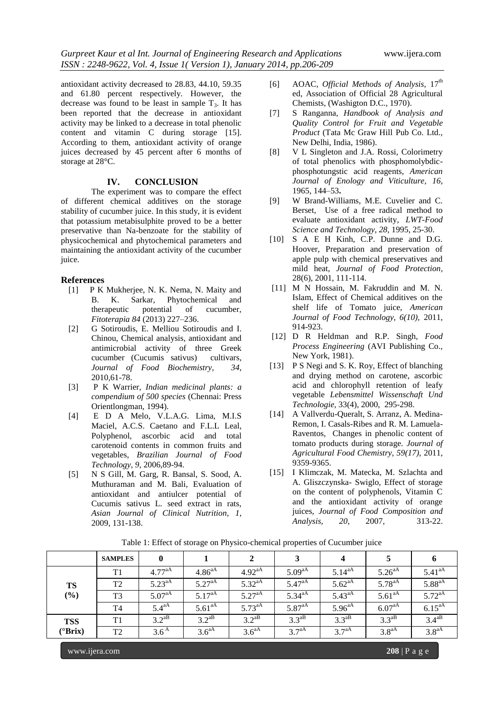antioxidant activity decreased to 28.83, 44.10, 59.35 and 61.80 percent respectively. However, the decrease was found to be least in sample  $T_3$ . It has been reported that the decrease in antioxidant activity may be linked to a decrease in total phenolic content and vitamin C during storage [15]. According to them, antioxidant activity of orange juices decreased by 45 percent after 6 months of storage at 28°C.

# **IV. CONCLUSION**

The experiment was to compare the effect of different chemical additives on the storage stability of cucumber juice. In this study, it is evident that potassium metabisulphite proved to be a better preservative than Na-benzoate for the stability of physicochemical and phytochemical parameters and maintaining the antioxidant activity of the cucumber juice.

### **References**

- [1] P K Mukherjee, N. K. Nema, N. Maity and B. K. Sarkar, Phytochemical and therapeutic potential of cucumber, *Fitoterapia 84* (2013) 227–236.
- [2] G Sotiroudis, E. Melliou Sotiroudis and I. Chinou, Chemical analysis, antioxidant and antimicrobial activity of three Greek cucumber (Cucumis sativus) cultivars*, Journal of Food Biochemistry, 34*, 2010*,*61-78.
- [3] P K Warrier, *Indian medicinal plants: a compendium of 500 species* (Chennai: Press Orientlongman, 1994).
- [4] E D A Melo, V.L.A.G. Lima, M.I.S Maciel, A.C.S. Caetano and F.L.L Leal, Polyphenol, ascorbic acid and total carotenoid contents in common fruits and vegetables, *Brazilian Journal of Food Technology, 9,* 2006,89-94.
- [5] N S Gill, M. Garg, R. Bansal, S. Sood, A. Muthuraman and M. Bali, Evaluation of antioxidant and antiulcer potential of Cucumis sativus L. seed extract in rats, *Asian Journal of Clinical Nutrition, 1,* 2009, 131-138.
- [6] AOAC, *Official Methods of Analysis*,  $17<sup>th</sup>$ ed, Association of Official 28 Agricultural Chemists, (Washigton D.C., 1970).
- [7] S Ranganna, *Handbook of Analysis and Quality Control for Fruit and Vegetable Product* (Tata Mc Graw Hill Pub Co. Ltd., New Delhi, India, 1986).
- [8] V L Singleton and J.A. Rossi, Colorimetry of total phenolics with phosphomolybdicphosphotungstic acid reagents, *American Journal of Enology and Viticulture, 16,* 1965, 144–53**.**
- [9] W Brand-Williams, M.E. Cuvelier and C. Berset, Use of a free radical method to evaluate antioxidant activity, *LWT-Food Science and Technology, 28,* 1995, 25-30.
- [10] S A E H Kinh, C.P. Dunne and D.G. Hoover, Preparation and preservation of apple pulp with chemical preservatives and mild heat, *Journal of Food Protection,* 28(6), 2001, 111-114.
- [11] M N Hossain, M. Fakruddin and M. N. Islam, Effect of Chemical additives on the shelf life of Tomato juice, *American Journal of Food Technology, 6(10),* 2011, 914-923.
- [12] D R Heldman and R.P. Singh, *Food Process Engineering* (AVI Publishing Co., New York, 1981).
- [13] P S Negi and S. K. Roy, Effect of blanching and drying method on carotene, ascorbic acid and chlorophyll retention of leafy vegetable *Lebensmittel Wissenschaft Und Technologie,* 33(4), 2000, 295-298.
- [14] A Vallverdu-Queralt, S. Arranz, A. Medina-Remon, I. Casals-Ribes and R. M. Lamuela-Raventos, Changes in phenolic content of tomato products during storage. *Journal of Agricultural Food Chemistry, 59(17),* 2011, 9359-9365.
- [15] I Klimczak, M. Matecka, M. Szlachta and A. Gliszczynska- Swiglo, Effect of storage on the content of polyphenols, Vitamin C and the antioxidant activity of orange juices, *Journal of Food Composition and Analysis, 20*, 2007, 313-22.

|                  | <b>SAMPLES</b> | $\mathbf{0}$       |                    |                   |                    | $\boldsymbol{4}$   |                    |                    |
|------------------|----------------|--------------------|--------------------|-------------------|--------------------|--------------------|--------------------|--------------------|
|                  | T1             | $4.77^{aA}$        | $4.86^{aA}$        | $4.92^{aA}$       | $5.09^{aA}$        | $5.14^{aA}$        | $5.26^{aA}$        | $5.41^{aA}$        |
| TS               | T <sub>2</sub> | $5.23^{aA}$        | 5.27 <sup>aA</sup> | $5.32^{aA}$       | 5.47 <sup>aA</sup> | $5.62^{aA}$        | $5.78^{aA}$        | 5.88 <sup>aA</sup> |
| $(\%)$           | T <sub>3</sub> | 5.07 <sup>aA</sup> | $5.17^{aA}$        | $5.27^{aA}$       | $5.34^{aA}$        | $5.43^{aA}$        | $5.61^{aA}$        | $5.72^{aA}$        |
|                  | T <sub>4</sub> | $5.4^{\text{aA}}$  | 5.61 <sup>aA</sup> | $5.73^{aA}$       | 5.87 <sup>aA</sup> | 5.96 <sup>aA</sup> | 6.07 <sup>aA</sup> | $6.15^{aA}$        |
| <b>TSS</b>       | T <sub>1</sub> | $3.2^{aB}$         | $3.2^{aB}$         | $3.2^{aB}$        | $3.3^{aB}$         | $3.3^{aB}$         | $3.3^{aB}$         | $3.4^{aB}$         |
| $(^{\circ}Brix)$ | T <sub>2</sub> | 3.6 <sup>A</sup>   | 3.6 <sup>aA</sup>  | 3.6 <sup>aA</sup> | $37^{aA}$          | $37^{aA}$          | 3.8 <sup>aA</sup>  | 3.8 <sup>aA</sup>  |

Table 1: Effect of storage on Physico-chemical properties of Cucumber juice

www.ijera.com **208** | P a g e